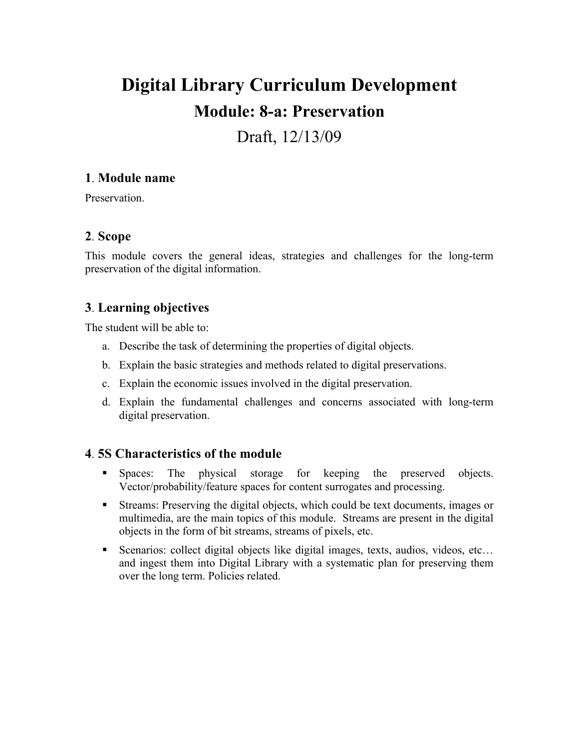# **Digital Library Curriculum Development Module: 8-a: Preservation**

## Draft, 12/13/09

## **1**. **Module name**

**Preservation** 

## **2**. **Scope**

This module covers the general ideas, strategies and challenges for the long-term preservation of the digital information.

## **3**. **Learning objectives**

The student will be able to:

- a. Describe the task of determining the properties of digital objects.
- b. Explain the basic strategies and methods related to digital preservations.
- c. Explain the economic issues involved in the digital preservation.
- d. Explain the fundamental challenges and concerns associated with long-term digital preservation.

## **4**. **5S Characteristics of the module**

- Spaces: The physical storage for keeping the preserved objects. Vector/probability/feature spaces for content surrogates and processing.
- Streams: Preserving the digital objects, which could be text documents, images or multimedia, are the main topics of this module. Streams are present in the digital objects in the form of bit streams, streams of pixels, etc.
- Scenarios: collect digital objects like digital images, texts, audios, videos, etc… and ingest them into Digital Library with a systematic plan for preserving them over the long term. Policies related.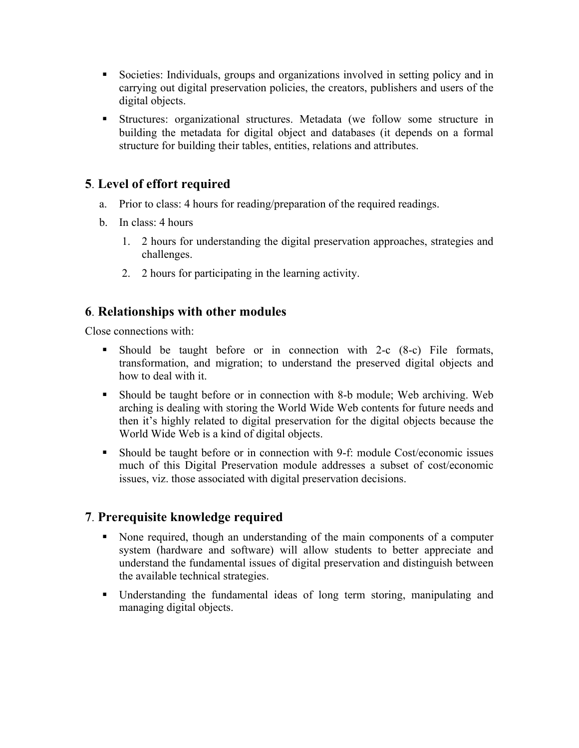- Societies: Individuals, groups and organizations involved in setting policy and in carrying out digital preservation policies, the creators, publishers and users of the digital objects.
- Structures: organizational structures. Metadata (we follow some structure in building the metadata for digital object and databases (it depends on a formal structure for building their tables, entities, relations and attributes.

## **5**. **Level of effort required**

- a. Prior to class: 4 hours for reading/preparation of the required readings.
- b. In class: 4 hours
	- 1. 2 hours for understanding the digital preservation approaches, strategies and challenges.
	- 2. 2 hours for participating in the learning activity.

## **6**. **Relationships with other modules**

Close connections with:

- Should be taught before or in connection with 2-c (8-c) File formats, transformation, and migration; to understand the preserved digital objects and how to deal with it.
- Should be taught before or in connection with 8-b module; Web archiving. Web arching is dealing with storing the World Wide Web contents for future needs and then it's highly related to digital preservation for the digital objects because the World Wide Web is a kind of digital objects.
- Should be taught before or in connection with 9-f: module Cost/economic issues much of this Digital Preservation module addresses a subset of cost/economic issues, viz. those associated with digital preservation decisions.

## **7**. **Prerequisite knowledge required**

- None required, though an understanding of the main components of a computer system (hardware and software) will allow students to better appreciate and understand the fundamental issues of digital preservation and distinguish between the available technical strategies.
- Understanding the fundamental ideas of long term storing, manipulating and managing digital objects.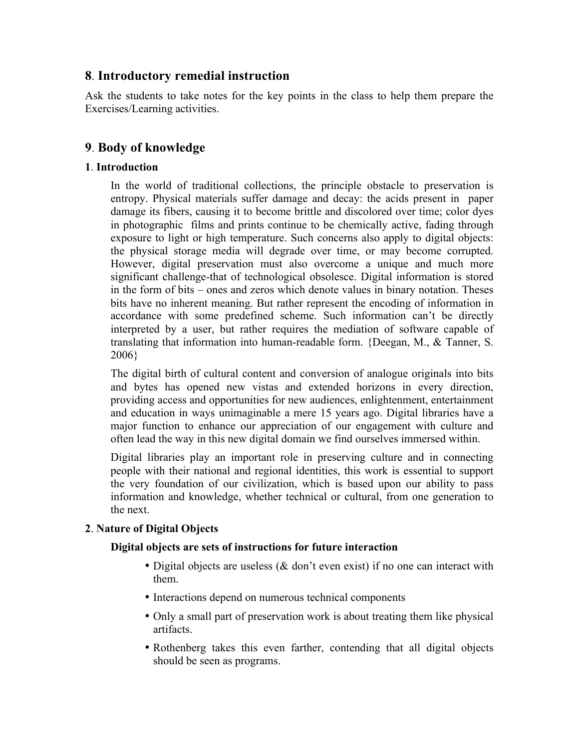## **8**. **Introductory remedial instruction**

Ask the students to take notes for the key points in the class to help them prepare the Exercises/Learning activities.

## **9**. **Body of knowledge**

#### **1**. **Introduction**

In the world of traditional collections, the principle obstacle to preservation is entropy. Physical materials suffer damage and decay: the acids present in paper damage its fibers, causing it to become brittle and discolored over time; color dyes in photographic films and prints continue to be chemically active, fading through exposure to light or high temperature. Such concerns also apply to digital objects: the physical storage media will degrade over time, or may become corrupted. However, digital preservation must also overcome a unique and much more significant challenge-that of technological obsolesce. Digital information is stored in the form of bits – ones and zeros which denote values in binary notation. Theses bits have no inherent meaning. But rather represent the encoding of information in accordance with some predefined scheme. Such information can't be directly interpreted by a user, but rather requires the mediation of software capable of translating that information into human-readable form. {Deegan, M., & Tanner, S. 2006}

The digital birth of cultural content and conversion of analogue originals into bits and bytes has opened new vistas and extended horizons in every direction, providing access and opportunities for new audiences, enlightenment, entertainment and education in ways unimaginable a mere 15 years ago. Digital libraries have a major function to enhance our appreciation of our engagement with culture and often lead the way in this new digital domain we find ourselves immersed within.

Digital libraries play an important role in preserving culture and in connecting people with their national and regional identities, this work is essential to support the very foundation of our civilization, which is based upon our ability to pass information and knowledge, whether technical or cultural, from one generation to the next.

#### **2**. **Nature of Digital Objects**

#### **Digital objects are sets of instructions for future interaction**

- Digital objects are useless (& don't even exist) if no one can interact with them.
- Interactions depend on numerous technical components
- Only a small part of preservation work is about treating them like physical artifacts.
- Rothenberg takes this even farther, contending that all digital objects should be seen as programs.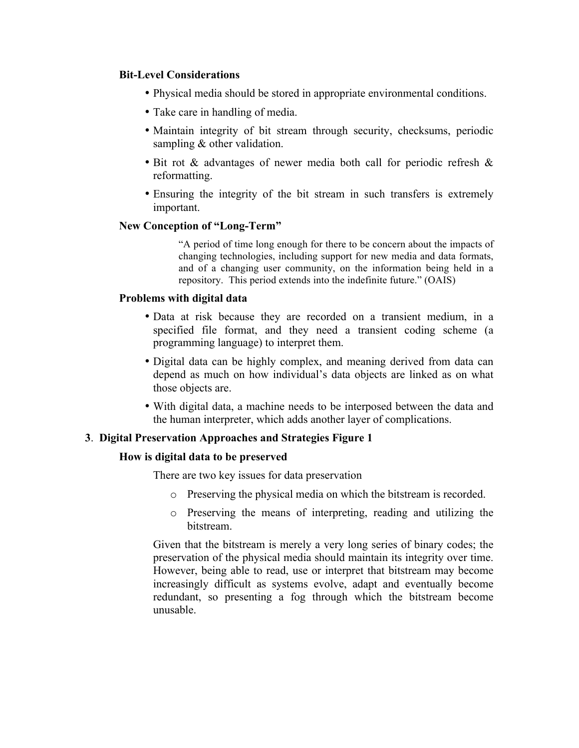#### **Bit-Level Considerations**

- Physical media should be stored in appropriate environmental conditions.
- Take care in handling of media.
- Maintain integrity of bit stream through security, checksums, periodic sampling & other validation.
- Bit rot & advantages of newer media both call for periodic refresh & reformatting.
- Ensuring the integrity of the bit stream in such transfers is extremely important.

#### **New Conception of "Long-Term"**

"A period of time long enough for there to be concern about the impacts of changing technologies, including support for new media and data formats, and of a changing user community, on the information being held in a repository. This period extends into the indefinite future." (OAIS)

#### **Problems with digital data**

- Data at risk because they are recorded on a transient medium, in a specified file format, and they need a transient coding scheme (a programming language) to interpret them.
- Digital data can be highly complex, and meaning derived from data can depend as much on how individual's data objects are linked as on what those objects are.
- With digital data, a machine needs to be interposed between the data and the human interpreter, which adds another layer of complications.

#### **3**. **Digital Preservation Approaches and Strategies Figure 1**

#### **How is digital data to be preserved**

There are two key issues for data preservation

- o Preserving the physical media on which the bitstream is recorded.
- o Preserving the means of interpreting, reading and utilizing the bitstream.

Given that the bitstream is merely a very long series of binary codes; the preservation of the physical media should maintain its integrity over time. However, being able to read, use or interpret that bitstream may become increasingly difficult as systems evolve, adapt and eventually become redundant, so presenting a fog through which the bitstream become unusable.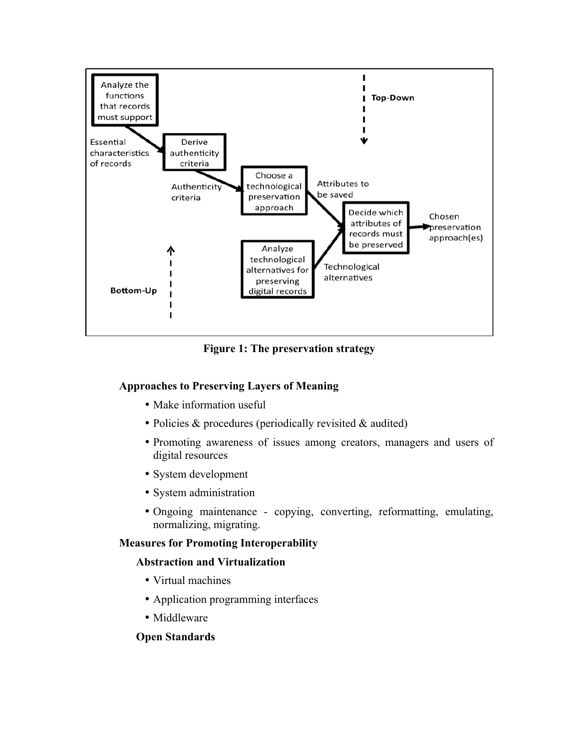

**Figure 1: The preservation strategy**

#### **Approaches to Preserving Layers of Meaning**

- Make information useful
- Policies & procedures (periodically revisited & audited)
- Promoting awareness of issues among creators, managers and users of digital resources
- System development
- System administration
- Ongoing maintenance copying, converting, reformatting, emulating, normalizing, migrating.

#### **Measures for Promoting Interoperability**

#### **Abstraction and Virtualization**

- Virtual machines
- Application programming interfaces
- Middleware

#### **Open Standards**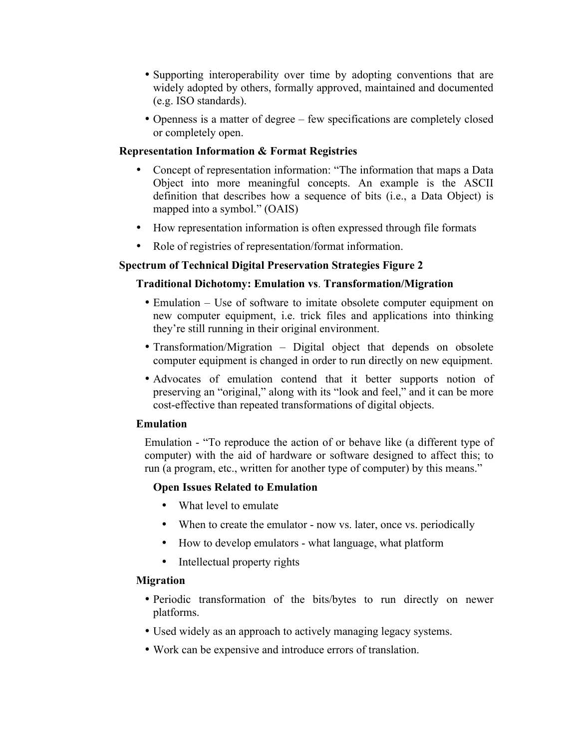- Supporting interoperability over time by adopting conventions that are widely adopted by others, formally approved, maintained and documented (e.g. ISO standards).
- Openness is a matter of degree few specifications are completely closed or completely open.

#### **Representation Information & Format Registries**

- Concept of representation information: "The information that maps a Data Object into more meaningful concepts. An example is the ASCII definition that describes how a sequence of bits (i.e., a Data Object) is mapped into a symbol." (OAIS)
- How representation information is often expressed through file formats
- Role of registries of representation/format information.

#### **Spectrum of Technical Digital Preservation Strategies Figure 2**

#### **Traditional Dichotomy: Emulation vs**. **Transformation/Migration**

- Emulation Use of software to imitate obsolete computer equipment on new computer equipment, i.e. trick files and applications into thinking they're still running in their original environment.
- Transformation/Migration Digital object that depends on obsolete computer equipment is changed in order to run directly on new equipment.
- Advocates of emulation contend that it better supports notion of preserving an "original," along with its "look and feel," and it can be more cost-effective than repeated transformations of digital objects.

#### **Emulation**

Emulation - "To reproduce the action of or behave like (a different type of computer) with the aid of hardware or software designed to affect this; to run (a program, etc., written for another type of computer) by this means."

#### **Open Issues Related to Emulation**

- What level to emulate
- When to create the emulator now vs. later, once vs. periodically
- How to develop emulators what language, what platform
- Intellectual property rights

#### **Migration**

- Periodic transformation of the bits/bytes to run directly on newer platforms.
- Used widely as an approach to actively managing legacy systems.
- Work can be expensive and introduce errors of translation.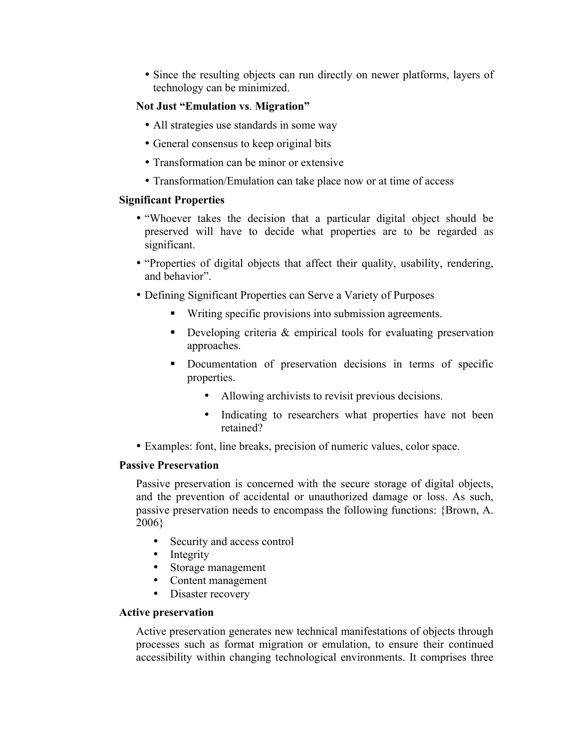• Since the resulting objects can run directly on newer platforms, layers of technology can be minimized.

#### **Not Just "Emulation vs**. **Migration"**

- All strategies use standards in some way
- General consensus to keep original bits
- Transformation can be minor or extensive
- Transformation/Emulation can take place now or at time of access

#### **Significant Properties**

- "Whoever takes the decision that a particular digital object should be preserved will have to decide what properties are to be regarded as significant.
- "Properties of digital objects that affect their quality, usability, rendering, and behavior".
- Defining Significant Properties can Serve a Variety of Purposes
	- Writing specific provisions into submission agreements.
	- Developing criteria & empirical tools for evaluating preservation approaches.
	- Documentation of preservation decisions in terms of specific properties.
		- Allowing archivists to revisit previous decisions.
		- Indicating to researchers what properties have not been retained?
- Examples: font, line breaks, precision of numeric values, color space.

#### **Passive Preservation**

Passive preservation is concerned with the secure storage of digital objects, and the prevention of accidental or unauthorized damage or loss. As such, passive preservation needs to encompass the following functions: {Brown, A. 2006}

- Security and access control
- Integrity
- Storage management
- Content management
- Disaster recovery

#### **Active preservation**

Active preservation generates new technical manifestations of objects through processes such as format migration or emulation, to ensure their continued accessibility within changing technological environments. It comprises three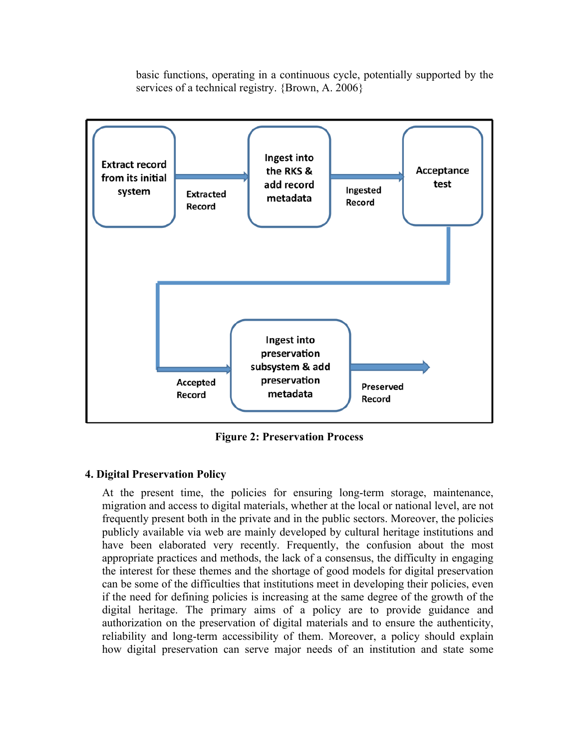basic functions, operating in a continuous cycle, potentially supported by the services of a technical registry. {Brown, A. 2006}



**Figure 2: Preservation Process**

#### **4. Digital Preservation Policy**

At the present time, the policies for ensuring long-term storage, maintenance, migration and access to digital materials, whether at the local or national level, are not frequently present both in the private and in the public sectors. Moreover, the policies publicly available via web are mainly developed by cultural heritage institutions and have been elaborated very recently. Frequently, the confusion about the most appropriate practices and methods, the lack of a consensus, the difficulty in engaging the interest for these themes and the shortage of good models for digital preservation can be some of the difficulties that institutions meet in developing their policies, even if the need for defining policies is increasing at the same degree of the growth of the digital heritage. The primary aims of a policy are to provide guidance and authorization on the preservation of digital materials and to ensure the authenticity, reliability and long-term accessibility of them. Moreover, a policy should explain how digital preservation can serve major needs of an institution and state some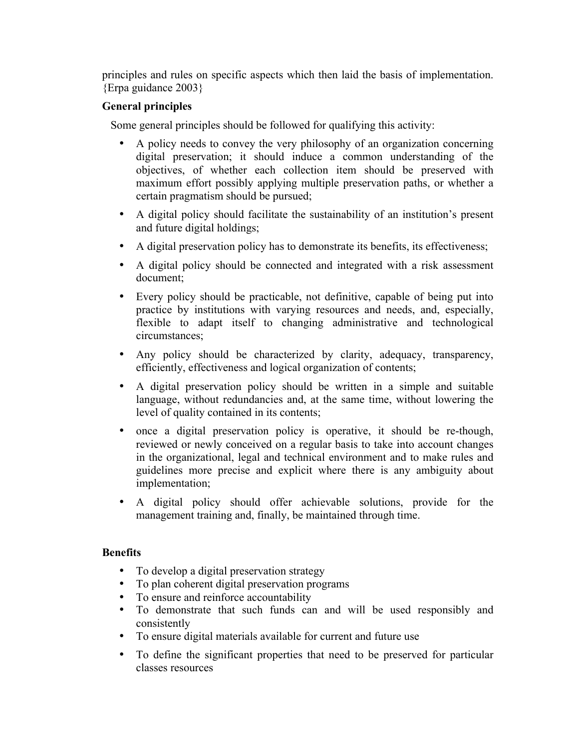principles and rules on specific aspects which then laid the basis of implementation. {Erpa guidance 2003}

#### **General principles**

Some general principles should be followed for qualifying this activity:

- A policy needs to convey the very philosophy of an organization concerning digital preservation; it should induce a common understanding of the objectives, of whether each collection item should be preserved with maximum effort possibly applying multiple preservation paths, or whether a certain pragmatism should be pursued;
- A digital policy should facilitate the sustainability of an institution's present and future digital holdings;
- A digital preservation policy has to demonstrate its benefits, its effectiveness;
- A digital policy should be connected and integrated with a risk assessment document;
- Every policy should be practicable, not definitive, capable of being put into practice by institutions with varying resources and needs, and, especially, flexible to adapt itself to changing administrative and technological circumstances;
- Any policy should be characterized by clarity, adequacy, transparency, efficiently, effectiveness and logical organization of contents;
- A digital preservation policy should be written in a simple and suitable language, without redundancies and, at the same time, without lowering the level of quality contained in its contents;
- once a digital preservation policy is operative, it should be re-though, reviewed or newly conceived on a regular basis to take into account changes in the organizational, legal and technical environment and to make rules and guidelines more precise and explicit where there is any ambiguity about implementation;
- A digital policy should offer achievable solutions, provide for the management training and, finally, be maintained through time.

#### **Benefits**

- To develop a digital preservation strategy
- To plan coherent digital preservation programs
- To ensure and reinforce accountability
- To demonstrate that such funds can and will be used responsibly and consistently
- To ensure digital materials available for current and future use
- To define the significant properties that need to be preserved for particular classes resources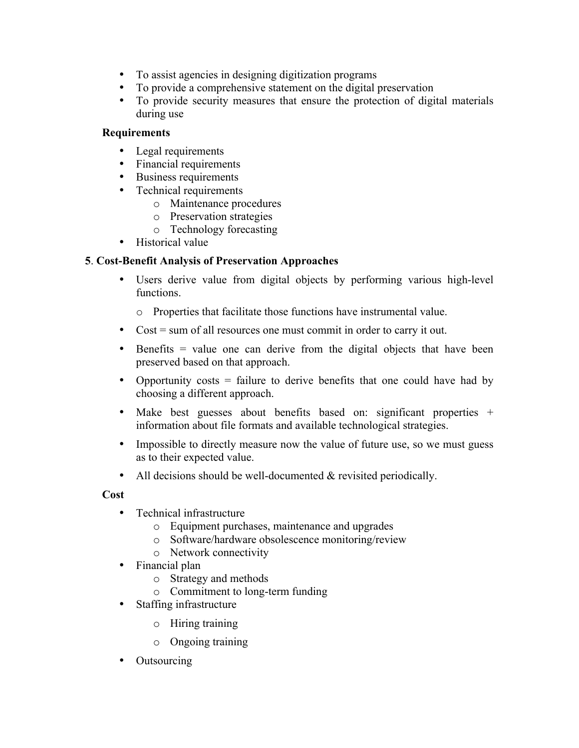- To assist agencies in designing digitization programs
- To provide a comprehensive statement on the digital preservation
- To provide security measures that ensure the protection of digital materials during use

#### **Requirements**

- Legal requirements
- Financial requirements
- Business requirements
- Technical requirements
	- o Maintenance procedures
	- o Preservation strategies
	- o Technology forecasting
- Historical value

#### **5**. **Cost-Benefit Analysis of Preservation Approaches**

• Users derive value from digital objects by performing various high-level functions.

o Properties that facilitate those functions have instrumental value.

- Cost = sum of all resources one must commit in order to carry it out.
- Benefits = value one can derive from the digital objects that have been preserved based on that approach.
- Opportunity costs = failure to derive benefits that one could have had by choosing a different approach.
- Make best guesses about benefits based on: significant properties + information about file formats and available technological strategies.
- Impossible to directly measure now the value of future use, so we must guess as to their expected value.
- All decisions should be well-documented & revisited periodically.

#### **Cost**

- Technical infrastructure
	- o Equipment purchases, maintenance and upgrades
	- o Software/hardware obsolescence monitoring/review
	- o Network connectivity
- Financial plan
	- o Strategy and methods
	- o Commitment to long-term funding
- Staffing infrastructure
	- o Hiring training
	- o Ongoing training
- **Outsourcing**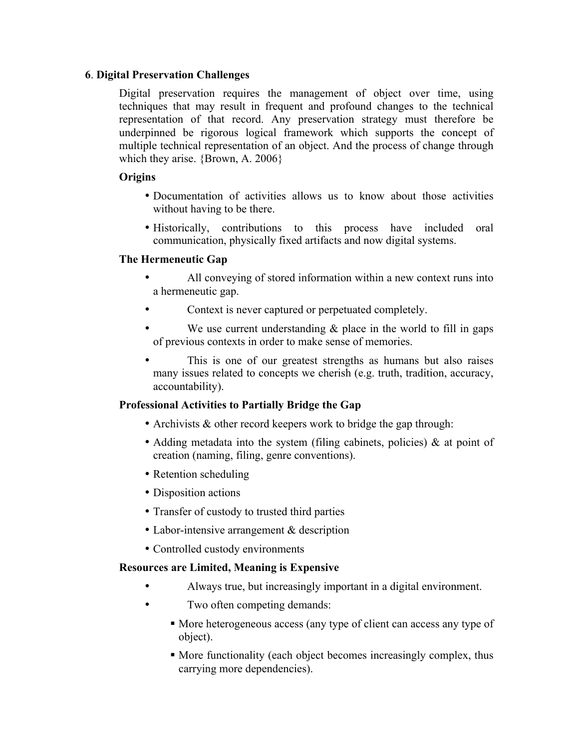#### **6**. **Digital Preservation Challenges**

Digital preservation requires the management of object over time, using techniques that may result in frequent and profound changes to the technical representation of that record. Any preservation strategy must therefore be underpinned be rigorous logical framework which supports the concept of multiple technical representation of an object. And the process of change through which they arise. {Brown, A. 2006}

#### **Origins**

- Documentation of activities allows us to know about those activities without having to be there.
- Historically, contributions to this process have included oral communication, physically fixed artifacts and now digital systems.

#### **The Hermeneutic Gap**

- All conveying of stored information within a new context runs into a hermeneutic gap.
- Context is never captured or perpetuated completely.
- We use current understanding  $\&$  place in the world to fill in gaps of previous contexts in order to make sense of memories.
- This is one of our greatest strengths as humans but also raises many issues related to concepts we cherish (e.g. truth, tradition, accuracy, accountability).

#### **Professional Activities to Partially Bridge the Gap**

- Archivists & other record keepers work to bridge the gap through:
- Adding metadata into the system (filing cabinets, policies) & at point of creation (naming, filing, genre conventions).
- Retention scheduling
- Disposition actions
- Transfer of custody to trusted third parties
- Labor-intensive arrangement & description
- Controlled custody environments

#### **Resources are Limited, Meaning is Expensive**

- Always true, but increasingly important in a digital environment.
- Two often competing demands:
	- More heterogeneous access (any type of client can access any type of object).
	- More functionality (each object becomes increasingly complex, thus carrying more dependencies).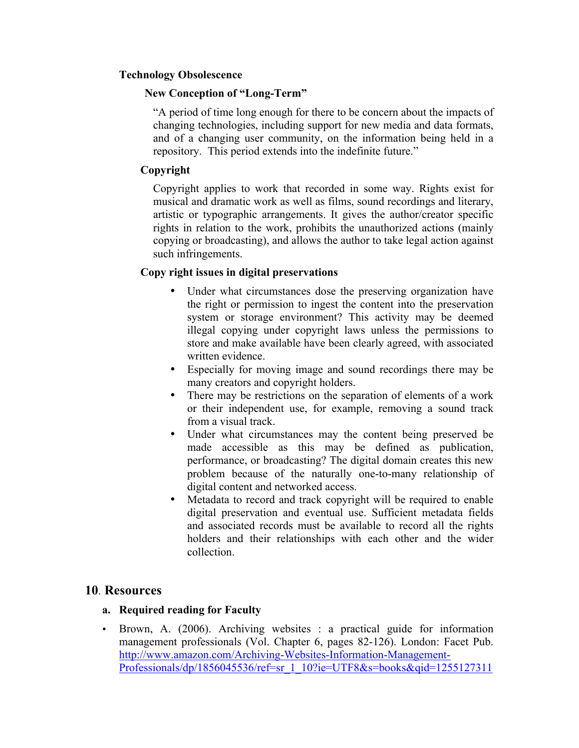#### **Technology Obsolescence**

#### **New Conception of "Long-Term"**

"A period of time long enough for there to be concern about the impacts of changing technologies, including support for new media and data formats, and of a changing user community, on the information being held in a repository. This period extends into the indefinite future."

#### **Copyright**

Copyright applies to work that recorded in some way. Rights exist for musical and dramatic work as well as films, sound recordings and literary, artistic or typographic arrangements. It gives the author/creator specific rights in relation to the work, prohibits the unauthorized actions (mainly copying or broadcasting), and allows the author to take legal action against such infringements.

#### **Copy right issues in digital preservations**

- Under what circumstances dose the preserving organization have the right or permission to ingest the content into the preservation system or storage environment? This activity may be deemed illegal copying under copyright laws unless the permissions to store and make available have been clearly agreed, with associated written evidence.
- Especially for moving image and sound recordings there may be many creators and copyright holders.
- There may be restrictions on the separation of elements of a work or their independent use, for example, removing a sound track from a visual track.
- Under what circumstances may the content being preserved be made accessible as this may be defined as publication, performance, or broadcasting? The digital domain creates this new problem because of the naturally one-to-many relationship of digital content and networked access.
- Metadata to record and track copyright will be required to enable digital preservation and eventual use. Sufficient metadata fields and associated records must be available to record all the rights holders and their relationships with each other and the wider collection.

#### **10**. **Resources**

#### **a. Required reading for Faculty**

• Brown, A. (2006). Archiving websites : a practical guide for information management professionals (Vol. Chapter 6, pages 82-126). London: Facet Pub. http://www.amazon.com/Archiving-Websites-Information-Management-Professionals/dp/1856045536/ref=sr\_1\_10?ie=UTF8&s=books&qid=1255127311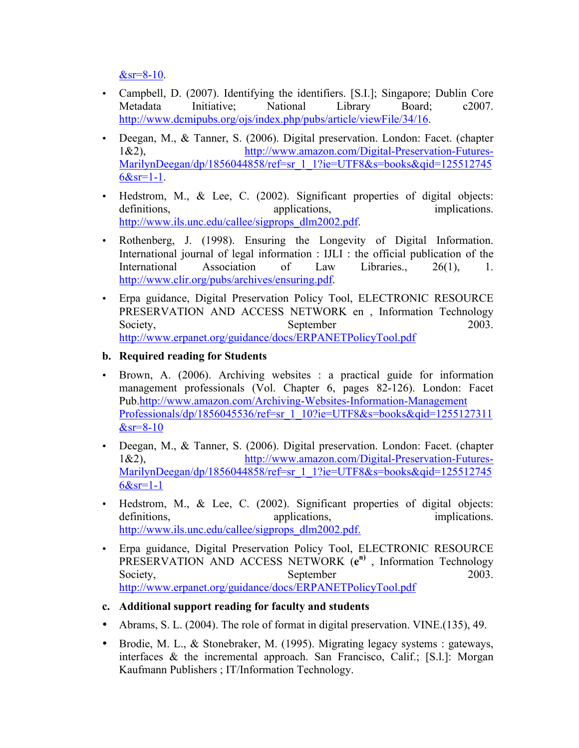$&$ sr=8-10.

- Campbell, D. (2007). Identifying the identifiers. [S.I.]; Singapore; Dublin Core Metadata Initiative; National Library Board; c2007. http://www.dcmipubs.org/ojs/index.php/pubs/article/viewFile/34/16.
- Deegan, M., & Tanner, S. (2006). Digital preservation. London: Facet. (chapter 1&2), http://www.amazon.com/Digital-Preservation-Futures-MarilynDeegan/dp/1856044858/ref=sr\_1\_1?ie=UTF8&s=books&qid=125512745  $6&sr=1-1$ .
- Hedstrom, M., & Lee, C. (2002). Significant properties of digital objects: definitions, applications, applications, exercise implications. http://www.ils.unc.edu/callee/sigprops\_dlm2002.pdf.
- Rothenberg, J. (1998). Ensuring the Longevity of Digital Information. International journal of legal information : IJLI : the official publication of the International Association of Law Libraries., 26(1), 1. http://www.clir.org/pubs/archives/ensuring.pdf.
- Erpa guidance, Digital Preservation Policy Tool, ELECTRONIC RESOURCE PRESERVATION AND ACCESS NETWORK en , Information Technology Society, September 2003. http://www.erpanet.org/guidance/docs/ERPANETPolicyTool.pdf

#### **b. Required reading for Students**

- Brown, A. (2006). Archiving websites : a practical guide for information management professionals (Vol. Chapter 6, pages 82-126). London: Facet Pub.http://www.amazon.com/Archiving-Websites-Information-Management Professionals/dp/1856045536/ref=sr\_1\_10?ie=UTF8&s=books&qid=1255127311  $&$ sr=8-10
- Deegan, M., & Tanner, S. (2006). Digital preservation. London: Facet. (chapter 1&2), http://www.amazon.com/Digital-Preservation-Futures-MarilynDeegan/dp/1856044858/ref=sr\_1\_1?ie=UTF8&s=books&qid=125512745  $6 & s = 1 - 1$
- Hedstrom, M., & Lee, C. (2002). Significant properties of digital objects: definitions, applications, applications, implications. http://www.ils.unc.edu/callee/sigprops\_dlm2002.pdf.
- Erpa guidance, Digital Preservation Policy Tool, ELECTRONIC RESOURCE PRESERVATION AND ACCESS NETWORK (**e n)** , Information Technology Society, September 2003. http://www.erpanet.org/guidance/docs/ERPANETPolicyTool.pdf
- **c. Additional support reading for faculty and students**
- Abrams, S. L. (2004). The role of format in digital preservation. VINE.(135), 49.
- Brodie, M. L., & Stonebraker, M. (1995). Migrating legacy systems : gateways, interfaces & the incremental approach. San Francisco, Calif.; [S.l.]: Morgan Kaufmann Publishers ; IT/Information Technology.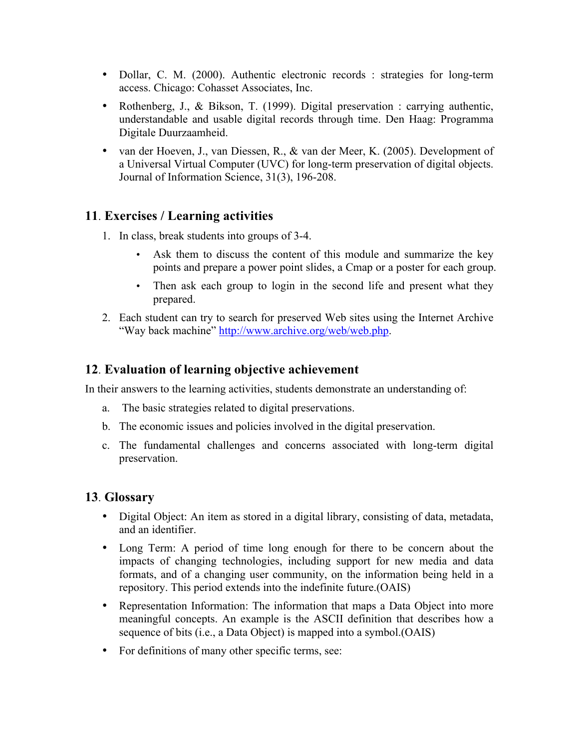- Dollar, C. M. (2000). Authentic electronic records : strategies for long-term access. Chicago: Cohasset Associates, Inc.
- Rothenberg, J., & Bikson, T. (1999). Digital preservation : carrying authentic, understandable and usable digital records through time. Den Haag: Programma Digitale Duurzaamheid.
- van der Hoeven, J., van Diessen, R., & van der Meer, K. (2005). Development of a Universal Virtual Computer (UVC) for long-term preservation of digital objects. Journal of Information Science, 31(3), 196-208.

## **11**. **Exercises / Learning activities**

- 1. In class, break students into groups of 3-4.
	- Ask them to discuss the content of this module and summarize the key points and prepare a power point slides, a Cmap or a poster for each group.
	- Then ask each group to login in the second life and present what they prepared.
- 2. Each student can try to search for preserved Web sites using the Internet Archive "Way back machine" http://www.archive.org/web/web.php.

## **12**. **Evaluation of learning objective achievement**

In their answers to the learning activities, students demonstrate an understanding of:

- a. The basic strategies related to digital preservations.
- b. The economic issues and policies involved in the digital preservation.
- c. The fundamental challenges and concerns associated with long-term digital preservation.

## **13**. **Glossary**

- Digital Object: An item as stored in a digital library, consisting of data, metadata, and an identifier.
- Long Term: A period of time long enough for there to be concern about the impacts of changing technologies, including support for new media and data formats, and of a changing user community, on the information being held in a repository. This period extends into the indefinite future.(OAIS)
- Representation Information: The information that maps a Data Object into more meaningful concepts. An example is the ASCII definition that describes how a sequence of bits (i.e., a Data Object) is mapped into a symbol.(OAIS)
- For definitions of many other specific terms, see: